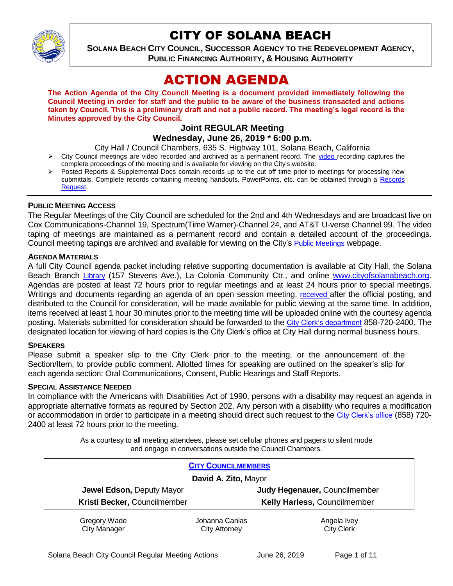

# CITY OF SOLANA BEACH

**SOLANA BEACH CITY COUNCIL, SUCCESSOR AGENCY TO THE REDEVELOPMENT AGENCY, PUBLIC FINANCING AUTHORITY, & HOUSING AUTHORITY** 

# ACTION AGENDA

**The Action Agenda of the City Council Meeting is a document provided immediately following the Council Meeting in order for staff and the public to be aware of the business transacted and actions taken by Council. This is a preliminary draft and not a public record. The meeting's legal record is the Minutes approved by the City Council.**

### **Joint REGULAR Meeting Wednesday, June 26, 2019 \* 6:00 p.m.**

City Hall / Council Chambers, 635 S. Highway 101, Solana Beach, California

- $\triangleright$  City Council meetings are [video r](https://solanabeach.12milesout.com/#page=1)ecorded and archived as a permanent record. The video recording captures the complete proceedings of the meeting and is available for viewing on the City's website.
- Posted Reports & Supplemental Docs contain records up to the cut off time prior to meetings for processing new submittals. Complete records containing meeting handouts, PowerPoints, etc. can be obtained through a Records [Request.](http://www.ci.solana-beach.ca.us/index.asp?SEC=F5D45D10-70CE-4291-A27C-7BD633FC6742&Type=B_BASIC)

### **PUBLIC MEETING ACCESS**

The Regular Meetings of the City Council are scheduled for the 2nd and 4th Wednesdays and are broadcast live on Cox Communications-Channel 19, Spectrum(Time Warner)-Channel 24, and AT&T U-verse Channel 99. The video taping of meetings are maintained as a permanent record and contain a detailed account of the proceedings. Council meeting tapings are archived and available for viewing on the City's [Public Meetings](https://www.ci.solana-beach.ca.us/index.asp?SEC=F0F1200D-21C6-4A88-8AE1-0BC07C1A81A7&Type=B_BASIC) webpage.

### **AGENDA MATERIALS**

A full City Council agenda packet including relative supporting documentation is available at City Hall, the Solana Beach Branch [Library](http://www.sdcl.org/locations_SB.html) (157 Stevens Ave.), La Colonia Community Ctr., and online [www.cityofsolanabeach.org.](http://www.cityofsolanabeach.org/) Agendas are posted at least 72 hours prior to regular meetings and at least 24 hours prior to special meetings. Writings and documents regarding an agenda of an open session meeting, [received](mailto:EMAILGRP-CityClerksOfc@cosb.org) after the official posting, and distributed to the Council for consideration, will be made available for public viewing at the same time. In addition, items received at least 1 hour 30 minutes prior to the meeting time will be uploaded online with the courtesy agenda posting. Materials submitted for consideration should be forwarded to the [City Clerk's department](mailto:EMAILGRP-CityClerksOfc@cosb.org) 858-720-2400. The designated location for viewing of hard copies is the City Clerk's office at City Hall during normal business hours.

### **SPEAKERS**

Please submit a speaker slip to the City Clerk prior to the meeting, or the announcement of the Section/Item, to provide public comment. Allotted times for speaking are outlined on the speaker's slip for each agenda section: Oral Communications, Consent, Public Hearings and Staff Reports.

### **SPECIAL ASSISTANCE NEEDED**

In compliance with the Americans with Disabilities Act of 1990, persons with a disability may request an agenda in appropriate alternative formats as required by Section 202. Any person with a disability who requires a modification or accommodation in order to participate in a meeting should direct such request to the [City Clerk's office](mailto:clerkadmin@cosb.org?subject=City%20Clerk%20Notice%20of%20Special%20Services%20Needed) (858) 720-2400 at least 72 hours prior to the meeting.

> As a courtesy to all meeting attendees, please set cellular phones and pagers to silent mode and engage in conversations outside the Council Chambers.

| <b>CITY COUNCILMEMBERS</b>   |                |                               |  |  |
|------------------------------|----------------|-------------------------------|--|--|
| David A. Zito, Mayor         |                |                               |  |  |
| Jewel Edson, Deputy Mayor    |                | Judy Hegenauer, Councilmember |  |  |
| Kristi Becker, Councilmember |                | Kelly Harless, Councilmember  |  |  |
| Gregory Wade                 | Johanna Canlas | Angela Ivey                   |  |  |
| <b>City Manager</b>          | City Attorney  | <b>City Clerk</b>             |  |  |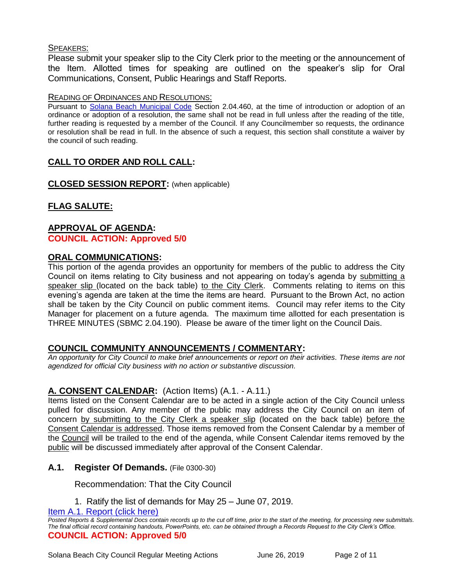### SPEAKERS:

Please submit your speaker slip to the City Clerk prior to the meeting or the announcement of the Item. Allotted times for speaking are outlined on the speaker's slip for Oral Communications, Consent, Public Hearings and Staff Reports.

### READING OF ORDINANCES AND RESOLUTIONS:

Pursuant to [Solana Beach Municipal Code](mailto:https://www.codepublishing.com/CA/SolanaBeach/) Section 2.04.460, at the time of introduction or adoption of an ordinance or adoption of a resolution, the same shall not be read in full unless after the reading of the title, further reading is requested by a member of the Council. If any Councilmember so requests, the ordinance or resolution shall be read in full. In the absence of such a request, this section shall constitute a waiver by the council of such reading.

# **CALL TO ORDER AND ROLL CALL:**

**CLOSED SESSION REPORT:** (when applicable)

**FLAG SALUTE:**

# **APPROVAL OF AGENDA:**

**COUNCIL ACTION: Approved 5/0**

### **ORAL COMMUNICATIONS:**

This portion of the agenda provides an opportunity for members of the public to address the City Council on items relating to City business and not appearing on today's agenda by submitting a speaker slip (located on the back table) to the City Clerk. Comments relating to items on this evening's agenda are taken at the time the items are heard. Pursuant to the Brown Act, no action shall be taken by the City Council on public comment items. Council may refer items to the City Manager for placement on a future agenda. The maximum time allotted for each presentation is THREE MINUTES (SBMC 2.04.190). Please be aware of the timer light on the Council Dais.

### **COUNCIL COMMUNITY ANNOUNCEMENTS / COMMENTARY:**

*An opportunity for City Council to make brief announcements or report on their activities. These items are not agendized for official City business with no action or substantive discussion.* 

### **A. CONSENT CALENDAR:** (Action Items) (A.1. - A.11.)

Items listed on the Consent Calendar are to be acted in a single action of the City Council unless pulled for discussion. Any member of the public may address the City Council on an item of concern by submitting to the City Clerk a speaker slip (located on the back table) before the Consent Calendar is addressed. Those items removed from the Consent Calendar by a member of the Council will be trailed to the end of the agenda, while Consent Calendar items removed by the public will be discussed immediately after approval of the Consent Calendar.

### **A.1. Register Of Demands.** (File 0300-30)

Recommendation: That the City Council

1. Ratify the list of demands for May 25 – June 07, 2019.

[Item A.1. Report \(click here\)](https://solanabeach.govoffice3.com/vertical/Sites/%7B840804C2-F869-4904-9AE3-720581350CE7%7D/uploads/Item_A.1._Report_(click_here)_06-26-19_-_O.pdf)

*Posted Reports & Supplemental Docs contain records up to the cut off time, prior to the start of the meeting, for processing new submittals. The final official record containing handouts, PowerPoints, etc. can be obtained through a Records Request to the City Clerk's Office.* **COUNCIL ACTION: Approved 5/0**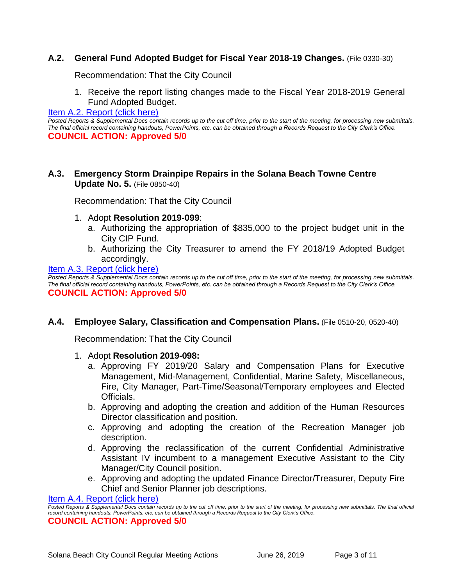### **A.2. General Fund Adopted Budget for Fiscal Year 2018-19 Changes.** (File 0330-30)

Recommendation: That the City Council

1. Receive the report listing changes made to the Fiscal Year 2018-2019 General Fund Adopted Budget.

### [Item A.2. Report \(click here\)](https://solanabeach.govoffice3.com/vertical/Sites/%7B840804C2-F869-4904-9AE3-720581350CE7%7D/uploads/Item_A.2._Report_(click_here)_06-26-19_-_O.pdf)

*Posted Reports & Supplemental Docs contain records up to the cut off time, prior to the start of the meeting, for processing new submittals. The final official record containing handouts, PowerPoints, etc. can be obtained through a Records Request to the City Clerk's Office.* **COUNCIL ACTION: Approved 5/0**

### **A.3. Emergency Storm Drainpipe Repairs in the Solana Beach Towne Centre Update No. 5.** (File 0850-40)

Recommendation: That the City Council

- 1. Adopt **Resolution 2019-099**:
	- a. Authorizing the appropriation of \$835,000 to the project budget unit in the City CIP Fund.
	- b. Authorizing the City Treasurer to amend the FY 2018/19 Adopted Budget accordingly.

[Item A.3. Report \(click here\)](https://solanabeach.govoffice3.com/vertical/Sites/%7B840804C2-F869-4904-9AE3-720581350CE7%7D/uploads/Item_A.3._Report_(click_here)_06-26-19_-_O.pdf)

*Posted Reports & Supplemental Docs contain records up to the cut off time, prior to the start of the meeting, for processing new submittals. The final official record containing handouts, PowerPoints, etc. can be obtained through a Records Request to the City Clerk's Office.* **COUNCIL ACTION: Approved 5/0**

### **A.4. Employee Salary, Classification and Compensation Plans.** (File 0510-20, 0520-40)

Recommendation: That the City Council

- 1. Adopt **Resolution 2019-098:**
	- a. Approving FY 2019/20 Salary and Compensation Plans for Executive Management, Mid-Management, Confidential, Marine Safety, Miscellaneous, Fire, City Manager, Part-Time/Seasonal/Temporary employees and Elected Officials.
	- b. Approving and adopting the creation and addition of the Human Resources Director classification and position.
	- c. Approving and adopting the creation of the Recreation Manager job description.
	- d. Approving the reclassification of the current Confidential Administrative Assistant IV incumbent to a management Executive Assistant to the City Manager/City Council position.
	- e. Approving and adopting the updated Finance Director/Treasurer, Deputy Fire Chief and Senior Planner job descriptions.

[Item A.4. Report \(click here\)](https://solanabeach.govoffice3.com/vertical/Sites/%7B840804C2-F869-4904-9AE3-720581350CE7%7D/uploads/Item_A.4._Report_(click_here)_06-26-19_-_O.pdf)

*Posted Reports & Supplemental Docs contain records up to the cut off time, prior to the start of the meeting, for processing new submittals. The final official record containing handouts, PowerPoints, etc. can be obtained through a Records Request to the City Clerk's Office.*

**COUNCIL ACTION: Approved 5/0**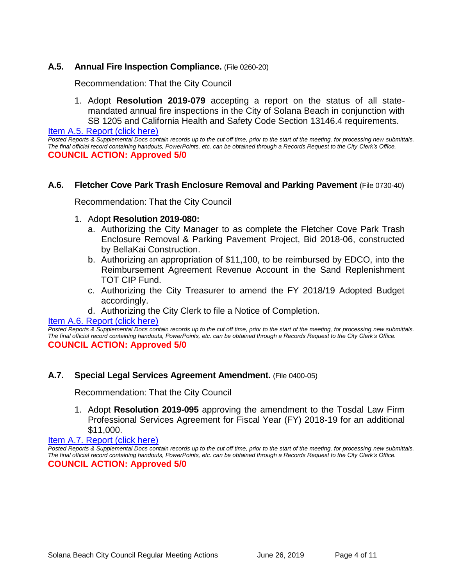### **A.5. Annual Fire Inspection Compliance.** (File 0260-20)

Recommendation: That the City Council

1. Adopt **Resolution 2019-079** accepting a report on the status of all statemandated annual fire inspections in the City of Solana Beach in conjunction with SB 1205 and California Health and Safety Code Section 13146.4 requirements.

[Item A.5. Report \(click here\)](https://solanabeach.govoffice3.com/vertical/Sites/%7B840804C2-F869-4904-9AE3-720581350CE7%7D/uploads/Item_A.5._Report_(click_here)_06-26-19_-_O.pdf)

*Posted Reports & Supplemental Docs contain records up to the cut off time, prior to the start of the meeting, for processing new submittals. The final official record containing handouts, PowerPoints, etc. can be obtained through a Records Request to the City Clerk's Office.* **COUNCIL ACTION: Approved 5/0**

### **A.6. Fletcher Cove Park Trash Enclosure Removal and Parking Pavement** (File 0730-40)

Recommendation: That the City Council

### 1. Adopt **Resolution 2019-080:**

- a. Authorizing the City Manager to as complete the Fletcher Cove Park Trash Enclosure Removal & Parking Pavement Project, Bid 2018-06, constructed by BellaKai Construction.
- b. Authorizing an appropriation of \$11,100, to be reimbursed by EDCO, into the Reimbursement Agreement Revenue Account in the Sand Replenishment TOT CIP Fund.
- c. Authorizing the City Treasurer to amend the FY 2018/19 Adopted Budget accordingly.
- d. Authorizing the City Clerk to file a Notice of Completion.

#### [Item A.6. Report \(click here\)](https://solanabeach.govoffice3.com/vertical/Sites/%7B840804C2-F869-4904-9AE3-720581350CE7%7D/uploads/Item_A.6._Report_(click_here)_06-26-19_-_O.pdf)

*Posted Reports & Supplemental Docs contain records up to the cut off time, prior to the start of the meeting, for processing new submittals. The final official record containing handouts, PowerPoints, etc. can be obtained through a Records Request to the City Clerk's Office.* **COUNCIL ACTION: Approved 5/0**

### **A.7. Special Legal Services Agreement Amendment.** (File 0400-05)

Recommendation: That the City Council

1. Adopt **Resolution 2019-095** approving the amendment to the Tosdal Law Firm Professional Services Agreement for Fiscal Year (FY) 2018-19 for an additional \$11,000.

### [Item A.7. Report \(click here\)](https://solanabeach.govoffice3.com/vertical/Sites/%7B840804C2-F869-4904-9AE3-720581350CE7%7D/uploads/Item_A.7._Report_(click_here)_06-26-19_-_O.pdf)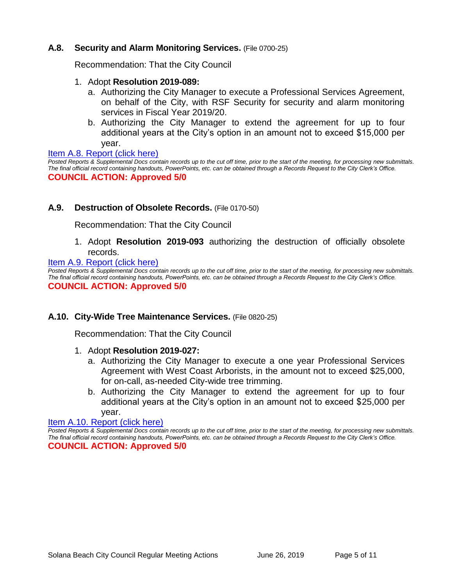### **A.8. Security and Alarm Monitoring Services.** (File 0700-25)

Recommendation: That the City Council

- 1. Adopt **Resolution 2019-089:**
	- a. Authorizing the City Manager to execute a Professional Services Agreement, on behalf of the City, with RSF Security for security and alarm monitoring services in Fiscal Year 2019/20.
	- b. Authorizing the City Manager to extend the agreement for up to four additional years at the City's option in an amount not to exceed \$15,000 per year.

[Item A.8. Report \(click here\)](https://solanabeach.govoffice3.com/vertical/Sites/%7B840804C2-F869-4904-9AE3-720581350CE7%7D/uploads/Item_A.8._Report_(click_here)_06-26-19_-_O.pdf)

*Posted Reports & Supplemental Docs contain records up to the cut off time, prior to the start of the meeting, for processing new submittals. The final official record containing handouts, PowerPoints, etc. can be obtained through a Records Request to the City Clerk's Office.* **COUNCIL ACTION: Approved 5/0**

### **A.9. Destruction of Obsolete Records.** (File 0170-50)

Recommendation: That the City Council

1. Adopt **Resolution 2019-093** authorizing the destruction of officially obsolete records.

#### [Item A.9. Report \(click here\)](https://solanabeach.govoffice3.com/vertical/Sites/%7B840804C2-F869-4904-9AE3-720581350CE7%7D/uploads/Item_A.9._Report_(click_here)_06-26-19_-_O.pdf)

*Posted Reports & Supplemental Docs contain records up to the cut off time, prior to the start of the meeting, for processing new submittals. The final official record containing handouts, PowerPoints, etc. can be obtained through a Records Request to the City Clerk's Office.* **COUNCIL ACTION: Approved 5/0**

#### **A.10. City-Wide Tree Maintenance Services.** (File 0820-25)

Recommendation: That the City Council

#### 1. Adopt **Resolution 2019-027:**

- a. Authorizing the City Manager to execute a one year Professional Services Agreement with West Coast Arborists, in the amount not to exceed \$25,000, for on-call, as-needed City-wide tree trimming.
- b. Authorizing the City Manager to extend the agreement for up to four additional years at the City's option in an amount not to exceed \$25,000 per year.

#### [Item A.10. Report \(click here\)](https://solanabeach.govoffice3.com/vertical/Sites/%7B840804C2-F869-4904-9AE3-720581350CE7%7D/uploads/Item_A.10._Report_(click_here)_06-26-19_-_O.pdf)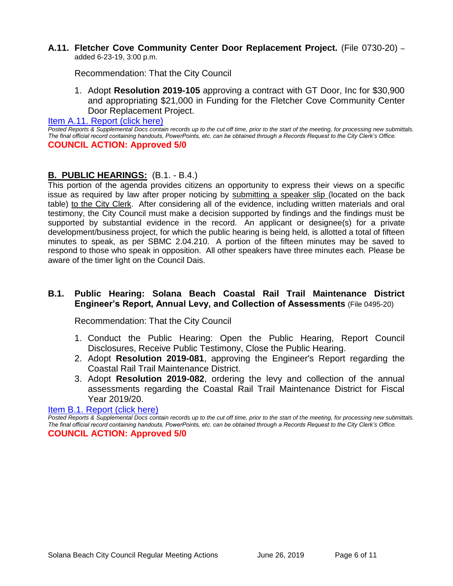#### **A.11. Fletcher Cove Community Center Door Replacement Project.** (File 0730-20) – added 6-23-19, 3:00 p.m.

Recommendation: That the City Council

1. Adopt **Resolution 2019-105** approving a contract with GT Door, Inc for \$30,900 and appropriating \$21,000 in Funding for the Fletcher Cove Community Center Door Replacement Project.

[Item A.11. Report \(click here\)](https://solanabeach.govoffice3.com/vertical/Sites/%7B840804C2-F869-4904-9AE3-720581350CE7%7D/uploads/Item_A.11._Report_(click_here)_06-26-19_-_O.pdf)

*Posted Reports & Supplemental Docs contain records up to the cut off time, prior to the start of the meeting, for processing new submittals. The final official record containing handouts, PowerPoints, etc. can be obtained through a Records Request to the City Clerk's Office.* **COUNCIL ACTION: Approved 5/0**

### **B. PUBLIC HEARINGS:** (B.1. - B.4.)

This portion of the agenda provides citizens an opportunity to express their views on a specific issue as required by law after proper noticing by submitting a speaker slip (located on the back table) to the City Clerk. After considering all of the evidence, including written materials and oral testimony, the City Council must make a decision supported by findings and the findings must be supported by substantial evidence in the record. An applicant or designee(s) for a private development/business project, for which the public hearing is being held, is allotted a total of fifteen minutes to speak, as per SBMC 2.04.210. A portion of the fifteen minutes may be saved to respond to those who speak in opposition. All other speakers have three minutes each. Please be aware of the timer light on the Council Dais.

### **B.1. Public Hearing: Solana Beach Coastal Rail Trail Maintenance District Engineer's Report, Annual Levy, and Collection of Assessments** (File 0495-20)

Recommendation: That the City Council

- 1. Conduct the Public Hearing: Open the Public Hearing, Report Council Disclosures, Receive Public Testimony, Close the Public Hearing.
- 2. Adopt **Resolution 2019-081**, approving the Engineer's Report regarding the Coastal Rail Trail Maintenance District.
- 3. Adopt **Resolution 2019-082**, ordering the levy and collection of the annual assessments regarding the Coastal Rail Trail Maintenance District for Fiscal Year 2019/20.

#### [Item B.1. Report \(click here\)](https://solanabeach.govoffice3.com/vertical/Sites/%7B840804C2-F869-4904-9AE3-720581350CE7%7D/uploads/Item_B.1._Report_(click_here)_06-26-19_-_O.pdf)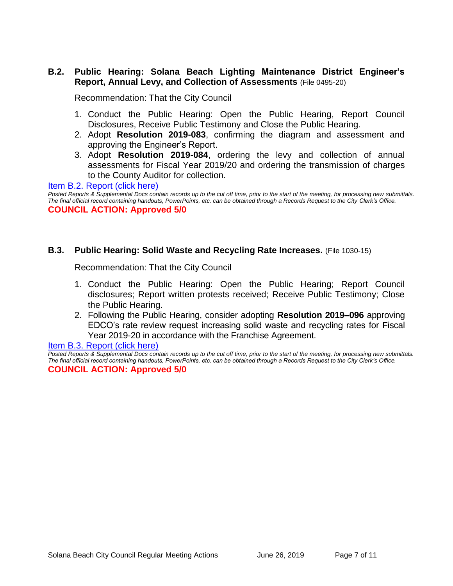### **B.2. Public Hearing: Solana Beach Lighting Maintenance District Engineer's Report, Annual Levy, and Collection of Assessments** (File 0495-20)

Recommendation: That the City Council

- 1. Conduct the Public Hearing: Open the Public Hearing, Report Council Disclosures, Receive Public Testimony and Close the Public Hearing.
- 2. Adopt **Resolution 2019-083**, confirming the diagram and assessment and approving the Engineer's Report.
- 3. Adopt **Resolution 2019-084**, ordering the levy and collection of annual assessments for Fiscal Year 2019/20 and ordering the transmission of charges to the County Auditor for collection.

[Item B.2. Report \(click here\)](https://solanabeach.govoffice3.com/vertical/Sites/%7B840804C2-F869-4904-9AE3-720581350CE7%7D/uploads/Item_B.2._Report_(click_here)_06-26-19_-_O.pdf)

*Posted Reports & Supplemental Docs contain records up to the cut off time, prior to the start of the meeting, for processing new submittals. The final official record containing handouts, PowerPoints, etc. can be obtained through a Records Request to the City Clerk's Office.* **COUNCIL ACTION: Approved 5/0**

### **B.3. Public Hearing: Solid Waste and Recycling Rate Increases.** (File 1030-15)

Recommendation: That the City Council

- 1. Conduct the Public Hearing: Open the Public Hearing; Report Council disclosures; Report written protests received; Receive Public Testimony; Close the Public Hearing.
- 2. Following the Public Hearing, consider adopting **Resolution 2019–096** approving EDCO's rate review request increasing solid waste and recycling rates for Fiscal Year 2019-20 in accordance with the Franchise Agreement.

[Item B.3. Report \(click here\)](https://solanabeach.govoffice3.com/vertical/Sites/%7B840804C2-F869-4904-9AE3-720581350CE7%7D/uploads/Item_B.3._Report_(click_here)_06-26-19_-_O.pdf)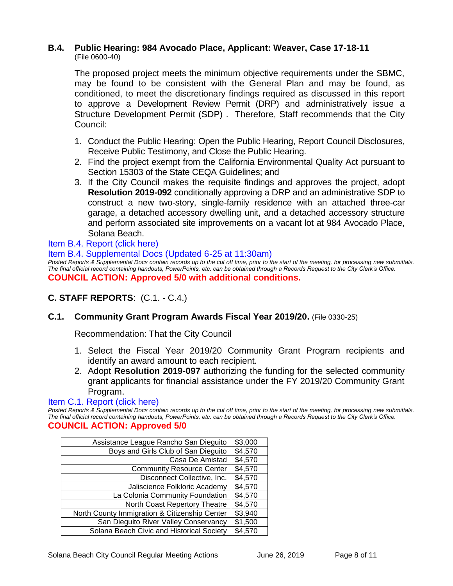#### **B.4. Public Hearing: 984 Avocado Place, Applicant: Weaver, Case 17-18-11** (File 0600-40)

The proposed project meets the minimum objective requirements under the SBMC, may be found to be consistent with the General Plan and may be found, as conditioned, to meet the discretionary findings required as discussed in this report to approve a Development Review Permit (DRP) and administratively issue a Structure Development Permit (SDP) . Therefore, Staff recommends that the City Council:

- 1. Conduct the Public Hearing: Open the Public Hearing, Report Council Disclosures, Receive Public Testimony, and Close the Public Hearing.
- 2. Find the project exempt from the California Environmental Quality Act pursuant to Section 15303 of the State CEQA Guidelines; and
- 3. If the City Council makes the requisite findings and approves the project, adopt **Resolution 2019-092** conditionally approving a DRP and an administrative SDP to construct a new two-story, single-family residence with an attached three-car garage, a detached accessory dwelling unit, and a detached accessory structure and perform associated site improvements on a vacant lot at 984 Avocado Place, Solana Beach.

## [Item B.4. Report \(click here\)](https://solanabeach.govoffice3.com/vertical/Sites/%7B840804C2-F869-4904-9AE3-720581350CE7%7D/uploads/Item_B.4._Report_(click_here)_06-26-19_-_OR.pdf)

[Item B.4. Supplemental Docs \(Updated 6-25](https://solanabeach.govoffice3.com/vertical/Sites/%7B840804C2-F869-4904-9AE3-720581350CE7%7D/uploads/Item_B.4._Supplemental_Docs_(6-25_at_1130am)_-_O.pdf) at 11:30am) *Posted Reports & Supplemental Docs contain records up to the cut off time, prior to the start of the meeting, for processing new submittals. The final official record containing handouts, PowerPoints, etc. can be obtained through a Records Request to the City Clerk's Office.* **COUNCIL ACTION: Approved 5/0 with additional conditions.** 

# **C. STAFF REPORTS**: (C.1. - C.4.)

### **C.1. Community Grant Program Awards Fiscal Year 2019/20.** (File 0330-25)

Recommendation: That the City Council

- 1. Select the Fiscal Year 2019/20 Community Grant Program recipients and identify an award amount to each recipient.
- 2. Adopt **Resolution 2019-097** authorizing the funding for the selected community grant applicants for financial assistance under the FY 2019/20 Community Grant Program.

### [Item C.1. Report \(click here\)](https://solanabeach.govoffice3.com/vertical/Sites/%7B840804C2-F869-4904-9AE3-720581350CE7%7D/uploads/Item_C.1._Report_(click_here)_06-26-19_-_O.pdf)

*Posted Reports & Supplemental Docs contain records up to the cut off time, prior to the start of the meeting, for processing new submittals. The final official record containing handouts, PowerPoints, etc. can be obtained through a Records Request to the City Clerk's Office.*

### **COUNCIL ACTION: Approved 5/0**

| Assistance League Rancho San Dieguito         | \$3,000 |
|-----------------------------------------------|---------|
| Boys and Girls Club of San Dieguito           | \$4,570 |
| Casa De Amistad                               | \$4,570 |
| <b>Community Resource Center</b>              | \$4,570 |
| Disconnect Collective, Inc.                   | \$4,570 |
| Jaliscience Folkloric Academy                 | \$4,570 |
| La Colonia Community Foundation               | \$4,570 |
| North Coast Repertory Theatre                 | \$4,570 |
| North County Immigration & Citizenship Center | \$3,940 |
| San Dieguito River Valley Conservancy         | \$1,500 |
| Solana Beach Civic and Historical Society     | \$4,570 |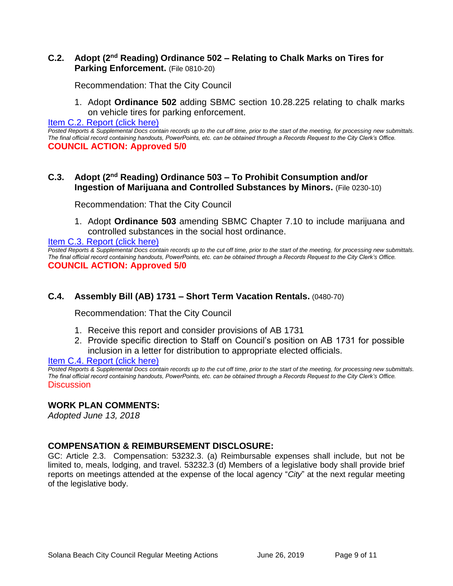### **C.2.** Adopt (2<sup>nd</sup> Reading) Ordinance 502 – Relating to Chalk Marks on Tires for **Parking Enforcement.** (File 0810-20)

Recommendation: That the City Council

1. Adopt **Ordinance 502** adding SBMC section 10.28.225 relating to chalk marks on vehicle tires for parking enforcement.

[Item C.2. Report \(click here\)](https://solanabeach.govoffice3.com/vertical/Sites/%7B840804C2-F869-4904-9AE3-720581350CE7%7D/uploads/Item_C.2._Report_(click_here)_06-26-19_-_O.pdf)

*Posted Reports & Supplemental Docs contain records up to the cut off time, prior to the start of the meeting, for processing new submittals. The final official record containing handouts, PowerPoints, etc. can be obtained through a Records Request to the City Clerk's Office.* **COUNCIL ACTION: Approved 5/0**

### **C.3. Adopt (2 nd Reading) Ordinance 503 – To Prohibit Consumption and/or Ingestion of Marijuana and Controlled Substances by Minors.** (File 0230-10)

Recommendation: That the City Council

1. Adopt **Ordinance 503** amending SBMC Chapter 7.10 to include marijuana and controlled substances in the social host ordinance.

[Item C.3. Report \(click here\)](https://solanabeach.govoffice3.com/vertical/Sites/%7B840804C2-F869-4904-9AE3-720581350CE7%7D/uploads/Item_C.3._Report_(click_here)_06-26-19_-_O.pdf)

*Posted Reports & Supplemental Docs contain records up to the cut off time, prior to the start of the meeting, for processing new submittals. The final official record containing handouts, PowerPoints, etc. can be obtained through a Records Request to the City Clerk's Office.* **COUNCIL ACTION: Approved 5/0**

# **C.4. Assembly Bill (AB) 1731 – Short Term Vacation Rentals.** (0480-70)

Recommendation: That the City Council

- 1. Receive this report and consider provisions of AB 1731
- 2. Provide specific direction to Staff on Council's position on AB 1731 for possible inclusion in a letter for distribution to appropriate elected officials.

### [Item C.4. Report \(click here\)](https://solanabeach.govoffice3.com/vertical/Sites/%7B840804C2-F869-4904-9AE3-720581350CE7%7D/uploads/Item_C.4._Report_(click_here)_06-26-19_-_O.pdf)

*Posted Reports & Supplemental Docs contain records up to the cut off time, prior to the start of the meeting, for processing new submittals. The final official record containing handouts, PowerPoints, etc. can be obtained through a Records Request to the City Clerk's Office.* Discussion

### **WORK PLAN COMMENTS:**

*Adopted June 13, 2018*

### **COMPENSATION & REIMBURSEMENT DISCLOSURE:**

GC: Article 2.3. Compensation: 53232.3. (a) Reimbursable expenses shall include, but not be limited to, meals, lodging, and travel. 53232.3 (d) Members of a legislative body shall provide brief reports on meetings attended at the expense of the local agency "*City*" at the next regular meeting of the legislative body.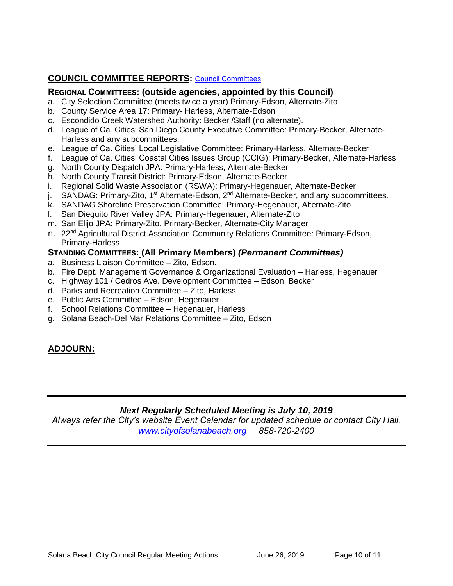# **COUNCIL COMMITTEE REPORTS:** [Council Committees](https://www.ci.solana-beach.ca.us/index.asp?SEC=584E1192-3850-46EA-B977-088AC3E81E0D&Type=B_BASIC)

### **REGIONAL COMMITTEES: (outside agencies, appointed by this Council)**

- a. City Selection Committee (meets twice a year) Primary-Edson, Alternate-Zito
- b. County Service Area 17: Primary- Harless, Alternate-Edson
- c. Escondido Creek Watershed Authority: Becker /Staff (no alternate).
- d. League of Ca. Cities' San Diego County Executive Committee: Primary-Becker, Alternate-Harless and any subcommittees.
- e. League of Ca. Cities' Local Legislative Committee: Primary-Harless, Alternate-Becker
- f. League of Ca. Cities' Coastal Cities Issues Group (CCIG): Primary-Becker, Alternate-Harless
- g. North County Dispatch JPA: Primary-Harless, Alternate-Becker
- h. North County Transit District: Primary-Edson, Alternate-Becker
- i. Regional Solid Waste Association (RSWA): Primary-Hegenauer, Alternate-Becker
- j. SANDAG: Primary-Zito, 1<sup>st</sup> Alternate-Edson, 2<sup>nd</sup> Alternate-Becker, and any subcommittees.
- k. SANDAG Shoreline Preservation Committee: Primary-Hegenauer, Alternate-Zito
- l. San Dieguito River Valley JPA: Primary-Hegenauer, Alternate-Zito
- m. San Elijo JPA: Primary-Zito, Primary-Becker, Alternate-City Manager
- n. 22<sup>nd</sup> Agricultural District Association Community Relations Committee: Primary-Edson, Primary-Harless

### **STANDING COMMITTEES: (All Primary Members)** *(Permanent Committees)*

- a. Business Liaison Committee Zito, Edson.
- b. Fire Dept. Management Governance & Organizational Evaluation Harless, Hegenauer
- c. Highway 101 / Cedros Ave. Development Committee Edson, Becker
- d. Parks and Recreation Committee Zito, Harless
- e. Public Arts Committee Edson, Hegenauer
- f. School Relations Committee Hegenauer, Harless
- g. Solana Beach-Del Mar Relations Committee Zito, Edson

### **ADJOURN:**

### *Next Regularly Scheduled Meeting is July 10, 2019*

*Always refer the City's website Event Calendar for updated schedule or contact City Hall. [www.cityofsolanabeach.org](http://www.cityofsolanabeach.org/) 858-720-2400*